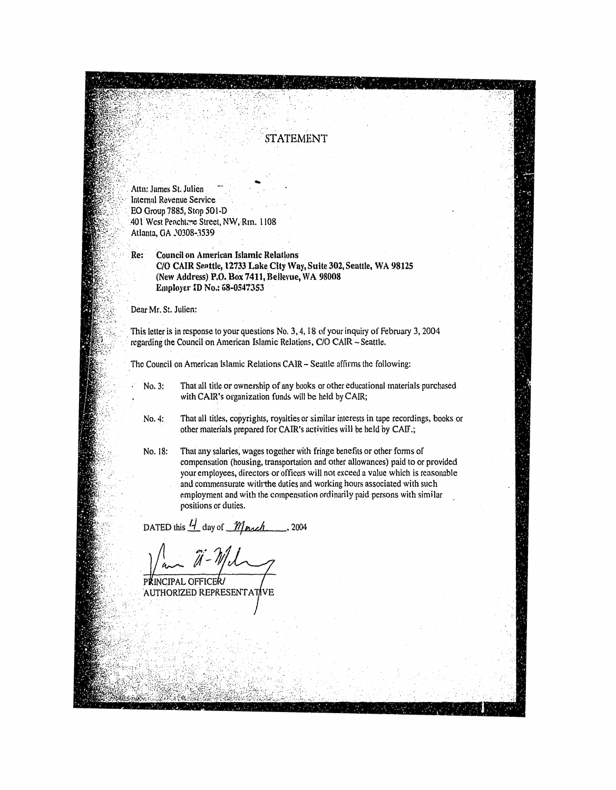## **STATEMENT**

Attn: James St. Julien Internnl Revenue Service **EO Group 7885, Stop 501-D** ... 401 West Peacht~e Street, NW, Rm. 1108 Atlanta, GA .\0308-3539

Re: Council on American Islamic Relalluns C/O CAIR Senttie, 12733 l.ake City Way, Suite 302, Seattle, WA 98125 (New Address) P.D.Box 7411, Belleyue, WA 98008 Employer ID No.: 68-0547353

Dear Mr. St. Julien:

This letter is in response to your questions No.3, 4, 18 of your inquiry of February 3, 2004 regarding the Council on American Islamic Relations, C/O CAIR - Seattle.

The Council on American Islamic Relations CAIR - Seattle affirms the following:

No.3: That all title or ownership of any books or other educational materials purchased with CAIR's organization funds will be held by CAIR;

No.4: That all titles, copyrights, royalties or similar interests in tape recordings, books or other materials prepared for CAIR's activities will be held by CAlf.;

No. 18: That any salaries, wages together with fringe benefits or other forms of compensation (housing. transportation and other allowances) paid to or provided your employees, directors or officers will not exceed a value which is reasonable and commensurate witlrthe duties and working hours associated with such employment and with the compensation ordinarily paid persons with similar positions or duties.

DATED this  $\frac{l}{l}$  day of *March* ... 2004

PKINCIPAL OFFICER/ AUTHORIZED REPRESENTATIVE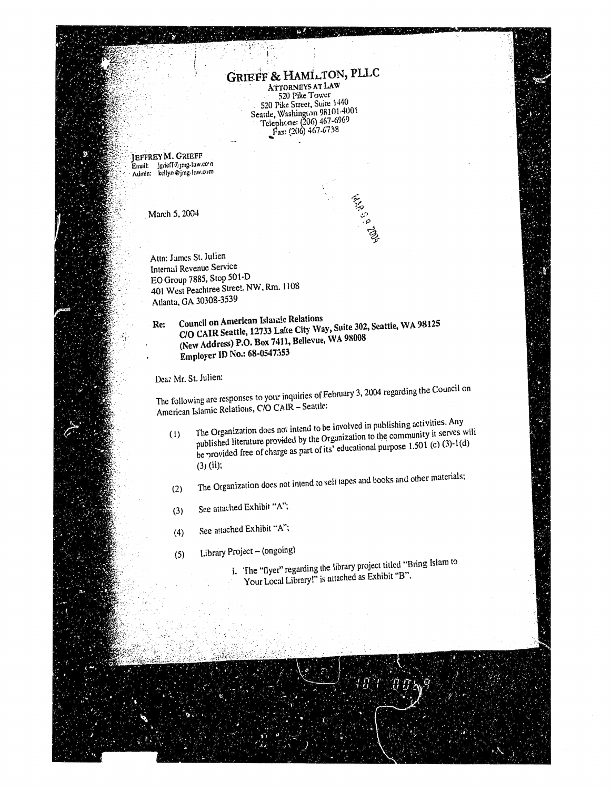## GRIEFF & HAMLTON, PLLC

520 Pike Tower 520 Pike Street, Suite 1440 Seattle, Washington 98101-4001<br>Telephone: (206) 467-6969<br>Fax: (206) 467-6758

1926 - 2019 PM

JEFFREY M. GRIEFF Email: Jg.ieff@gmg-law.com

March 5, 2004

Attn: James St. Julien Internal Revenue Service EO Group 7885, Stop 501-D 401 West Peachtree Street, NW, Rm. 1108 Atlanta, GA 30308-3539

**Council on American Islamic Relations** C/O CAIR Seattle, 12733 Lake City Way, Suite 302, Seattle, WA 98125 Re: (New Address) P.O. Box 7411, Bellevue, WA 98008 Employer ID No.: 68-0547353

Dear Mr. St. Julien:

The following are responses to your inquiries of February 3, 2004 regarding the Council on American Islamic Relations, C/O CAIR - Seattle:

- The Organization does not intend to be involved in publishing activities. Any published literature provided by the Organization to the community it serves will  $(1)$ be provided free of charge as part of its' educational purpose 1.501 (c) (3)-1(d)  $(3)$  (ii);
- The Organization does not intend to self tapes and books and other materials;  $(2)$
- See attached Exhibit "A";  $(3)$
- See attached Exhibit "A";  $(4)$
- Library Project (ongoing)  $(5)$ 
	- i. The "flyer" regarding the library project titled "Bring Islam to Your Local Library!" is attached as Exhibit "B".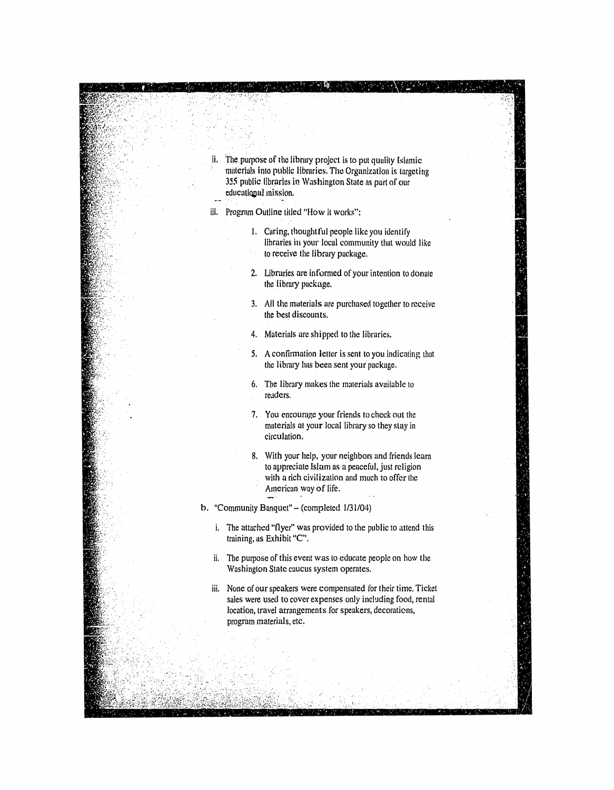II. The purpose of the library project is to put quality Islamic materials into public Iibraries. The Organization is targeting 355 public libraries in Washington State as purl of our educational mission.

ill. Program Outline titled "How it works":

- 1. Caring, thoughtful people like you identify libraries in your local community that would like to receive the library package.
- 2. Libraries are informed of your intention to donate the library puckage.
- 3. All the materials are purchased together to receive the best discounts.
- 4. Materials are shipped to the libraries.
- 5. A confirmation letter is sent to you indicating that the library has been sent your package.
- 6. The library makes the materials avuilable to readers.
- 7. You encourage your friends to check out the materials at your local library so they stay in circulation.
- 8. With your help, your neighbors and friends learn to appreciate Islam as a peaceful, just religion with a rich civilization and much to offer the American way of life.

b. "Community Banquet" - (completed 1/31/04)

- i. The attached "flyer" was provided to the public to attend this training. as Exhibit "C'.
- ii. The purpose of this event was to educate people on how the Washington State cuucus system operates.
- iii. None of our speakers were compensated for their time. Ticket sales were used to cover expenses only including food, rental location, travel arrangements for speakers, decorations, program materials, etc.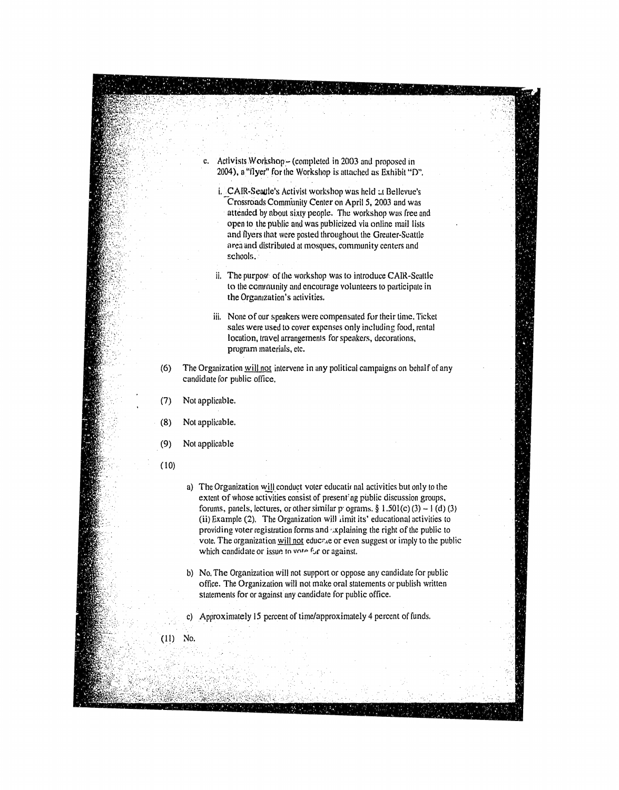Activists Workshop - (completed in 2003 and proposed in 2004), a "flyer" for the Workshop is attached as Exhibit "D".

 $\mathcal{G}_{\mathcal{X}}$ 

- i. CAIR-Seaule's Activist workshop was held at Bellevue's Crossroads Community Center on April 5, 2003 and was attended by about sixty people. The workshop was free and open to the puhlic and was publicized via online mail lists and flyers that were posted throughout the Greater-Scattle oren and distributed at mosques. community centers and schools.
- ii. The purpose of the workshop was to introduce CAIR-Scattle to the community and encourage volunteers to participate in the Organization's activities.
- iii. None of our speakers were compensated for their time. Ticket sales were used to cover expenses only including food, rental location, travel arrangements for speakers, decorations, program materials, etc.
- (6) The Organization will not intervene in any political campaigns on behalf of any candidate for public office.
- (7) Not applicable.
- (8) Not applicable.
- (9) Not applicable
- (10)
- a) The Organization will conduct voter educational activities but only to the extent of whose activities consist of present'ng public discussion groups, forums, panels, lectures, or other similar p' ograms. § 1.501(c) (3)  $-1$  (d) (3) (ii) Example (2). The Organization will limit its' educational activities to providing voter registration forms and 'xplaining the right of the public to vote. The organization will not educt to or even suggest or imply to the public which candidate or issue to vote for or against.
- b) No, The Organization will not support or oppose any candidate for public office. The Organization will not make oral statements or publish written statements for or against any candidate for public office.
- c) Approximutely 15 percent of time/approximately 4 percent of funds.
- $(11)$ ~o.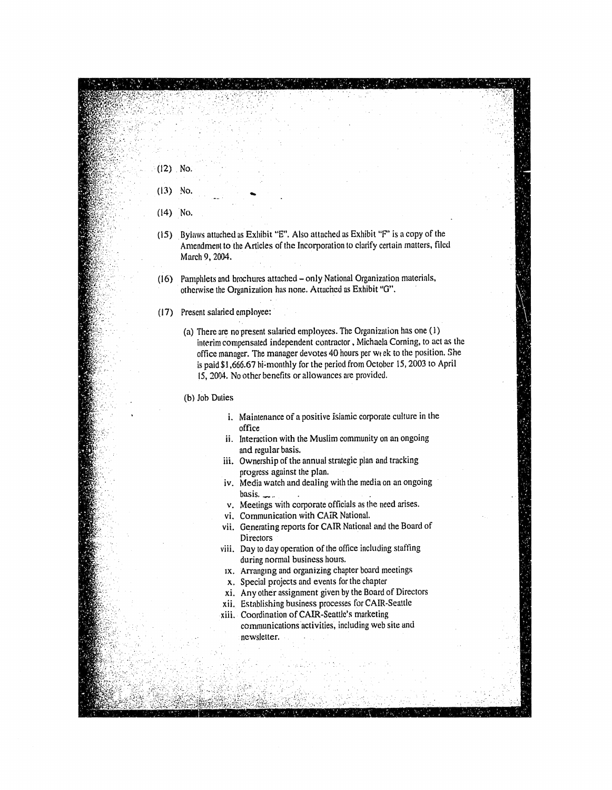- (13) No.
- $(14)$  No.

 $(12)$  No.

- (15) Bylaws attuched as Exhibit "E". Also attached as Exhibit "P' is a copy of the Amendment to the Articles of the Incorporation to clarify certain matters, filed March 9, 2004.
- (16) Pamphlets and brochures attached only National Organization materials, otherwise the Organization has none. Attached as Exhibit *"G".*
- (17) Present salaried employee:
	- (a) There are no present salaried employees. The Organization has one (1) interim compensated independent contractor, Michaela Corning, to act as the office manager. The manager devotes 40 hours per wtek to the position. She is paid\$I,666.67 hi~month!y for the period from October 15,2003 to April 15, 2004. No other benefits or allowances are provided.
	- (b) Job Duties
		- i. Maintenance of a positive Isiamic corporate culture in the office
		- ii. Interaction with the Muslim community on an ongoing and regular basis.
		- iii. Ownership of the annual strategic plan and tracking progress against the plan.
		- iv. Media watch and dealing with the media on an ongoing basis.  $\sim$ .
		- v. Meetings with corporate officials as the need arises.
		- vi. Communication with CAIR National.
		- vii. Generating reports for CAIR National and the Board of **Directors**
		- viii. Day to day operation of the office including staffing during normal business hours.
		- IX. Arrangmg and organizing chapter board meetings
		- x. Special projects and events for the chapter
		- xi. Any other assignment given by the Board of Directors
		- xii. Establishing business processes for CAIR-Seattle
		- xiii. Coordination of CAIR-Seattle's marketing communications activities, including web site and newsletter.